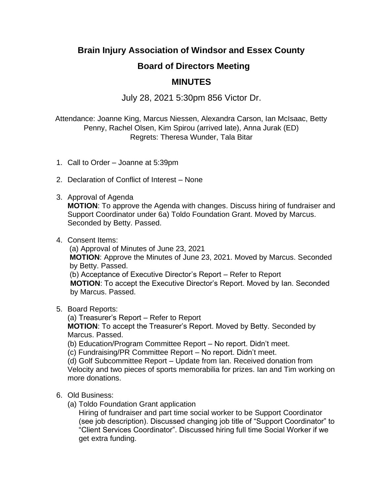## **Brain Injury Association of Windsor and Essex County**

## **Board of Directors Meeting**

## **MINUTES**

July 28, 2021 5:30pm 856 Victor Dr.

Attendance: Joanne King, Marcus Niessen, Alexandra Carson, Ian McIsaac, Betty Penny, Rachel Olsen, Kim Spirou (arrived late), Anna Jurak (ED) Regrets: Theresa Wunder, Tala Bitar

- 1. Call to Order Joanne at 5:39pm
- 2. Declaration of Conflict of Interest None
- 3. Approval of Agenda

**MOTION**: To approve the Agenda with changes. Discuss hiring of fundraiser and Support Coordinator under 6a) Toldo Foundation Grant. Moved by Marcus. Seconded by Betty. Passed.

4. Consent Items:

(a) Approval of Minutes of June 23, 2021 **MOTION**: Approve the Minutes of June 23, 2021. Moved by Marcus. Seconded by Betty. Passed. (b) Acceptance of Executive Director's Report – Refer to Report **MOTION**: To accept the Executive Director's Report. Moved by Ian. Seconded by Marcus. Passed.

5. Board Reports:

(a) Treasurer's Report – Refer to Report **MOTION**: To accept the Treasurer's Report. Moved by Betty. Seconded by Marcus. Passed.

- (b) Education/Program Committee Report No report. Didn't meet.
- (c) Fundraising/PR Committee Report No report. Didn't meet.

(d) Golf Subcommittee Report – Update from Ian. Received donation from Velocity and two pieces of sports memorabilia for prizes. Ian and Tim working on more donations.

## 6. Old Business:

(a) Toldo Foundation Grant application

Hiring of fundraiser and part time social worker to be Support Coordinator (see job description). Discussed changing job title of "Support Coordinator" to "Client Services Coordinator". Discussed hiring full time Social Worker if we get extra funding.